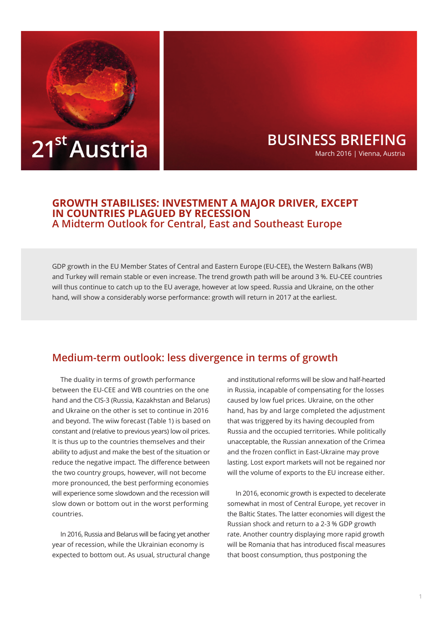

# **BUSINESS BRIEFING** March 2016 | Vienna, Austria

### **GROWTH STABILISES: INVESTMENT A MAJOR DRIVER, EXCEPT IN COUNTRIES PLAGUED BY RECESSION A Midterm Outlook for Central, East and Southeast Europe**

GDP growth in the EU Member States of Central and Eastern Europe (EU-CEE), the Western Balkans (WB) and Turkey will remain stable or even increase. The trend growth path will be around 3 %. EU-CEE countries will thus continue to catch up to the EU average, however at low speed. Russia and Ukraine, on the other hand, will show a considerably worse performance: growth will return in 2017 at the earliest.

# **Medium-term outlook: less divergence in terms of growth**

The duality in terms of growth performance between the EU-CEE and WB countries on the one hand and the CIS-3 (Russia, Kazakhstan and Belarus) and Ukraine on the other is set to continue in 2016 and beyond. The wiiw forecast (Table 1) is based on constant and (relative to previous years) low oil prices. It is thus up to the countries themselves and their ability to adjust and make the best of the situation or reduce the negative impact. The difference between the two country groups, however, will not become more pronounced, the best performing economies will experience some slowdown and the recession will slow down or bottom out in the worst performing countries.

In 2016, Russia and Belarus will be facing yet another year of recession, while the Ukrainian economy is expected to bottom out. As usual, structural change

and institutional reforms will be slow and half-hearted in Russia, incapable of compensating for the losses caused by low fuel prices. Ukraine, on the other hand, has by and large completed the adjustment that was triggered by its having decoupled from Russia and the occupied territories. While politically unacceptable, the Russian annexation of the Crimea and the frozen conflict in East-Ukraine may prove lasting. Lost export markets will not be regained nor will the volume of exports to the EU increase either.

In 2016, economic growth is expected to decelerate somewhat in most of Central Europe, yet recover in the Baltic States. The latter economies will digest the Russian shock and return to a 2-3 % GDP growth rate. Another country displaying more rapid growth will be Romania that has introduced fiscal measures that boost consumption, thus postponing the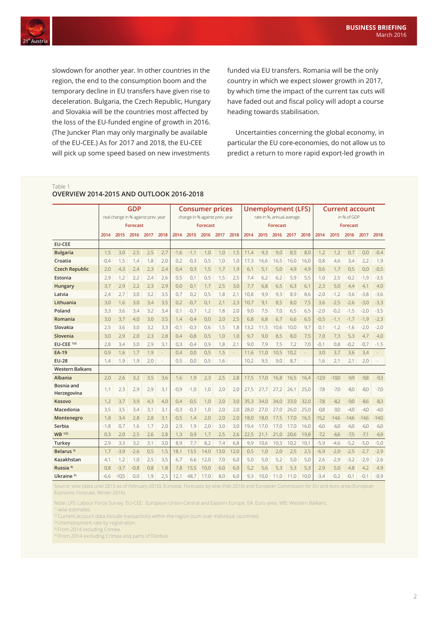

slowdown for another year. In other countries in the region, the end to the consumption boom and the temporary decline in EU transfers have given rise to deceleration. Bulgaria, the Czech Republic, Hungary and Slovakia will be the countries most affected by the loss of the EU-funded engine of growth in 2016. (The Juncker Plan may only marginally be available of the EU-CEE.) As for 2017 and 2018, the EU-CEE will pick up some speed based on new investments

funded via EU transfers. Romania will be the only country in which we expect slower growth in 2017, by which time the impact of the current tax cuts will have faded out and fiscal policy will adopt a course heading towards stabilisation.

Uncertainties concerning the global economy, in particular the EU core-economies, do not allow us to predict a return to more rapid export-led growth in

#### Table 1

|                          | <b>GDP</b><br>real change in % against prev. year |         |        |      | <b>Consumer prices</b><br>change in % against prev. year |        |        |      | Unemployment (LFS)<br>rate in %, annual average |      |      |      | <b>Current account</b> |      |      |         |         |         |         |         |
|--------------------------|---------------------------------------------------|---------|--------|------|----------------------------------------------------------|--------|--------|------|-------------------------------------------------|------|------|------|------------------------|------|------|---------|---------|---------|---------|---------|
|                          |                                                   |         |        |      |                                                          |        |        |      |                                                 |      |      |      | in % of GDP            |      |      |         |         |         |         |         |
|                          | <b>Forecast</b>                                   |         |        |      | Forecast                                                 |        |        |      | <b>Forecast</b>                                 |      |      |      | <b>Forecast</b>        |      |      |         |         |         |         |         |
|                          | 2014                                              | 2015    | 2016   | 2017 | 2018                                                     | 2014   | 2015   | 2016 | 2017                                            | 2018 | 2014 | 2015 | 2016                   | 2017 | 2018 | 2014    | 2015    | 2016    | 2017    | 2018    |
| <b>EU-CEE</b>            |                                                   |         |        |      |                                                          |        |        |      |                                                 |      |      |      |                        |      |      |         |         |         |         |         |
| <b>Bulgaria</b>          | 1,5                                               | 3,0     | 2,5    | 2,5  | 2,7                                                      | $-1,6$ | $-1.1$ | 1,0  | 1,0                                             | 1.5  | 11.4 | 9.3  | 9.0                    | 8,5  | 8.0  | 1,2     | 1,2     | 0.7     | 0,0     | $-0,4$  |
| Croatia                  | $-0.4$                                            | 1,5     | 1,4    | 1,8  | 2.0                                                      | 0,2    | $-0,3$ | 0,5  | 1,0                                             | 1.0  | 17,3 | 16.6 | 16,5                   | 16.0 | 16.0 | 0.8     | 4,6     | 3.4     | 2,2     | 1,9     |
| <b>Czech Republic</b>    | 2,0                                               | 4,3     | 2,4    | 2,3  | 2.4                                                      | 0.4    | 0.3    | 1,5  | 1,7                                             | 1.9  | 6.1  | 5.1  | 5.0                    | 4,9  | 4.9  | 0.6     | 1,7     | 0.5     | 0,0     | $-0,5$  |
| Estonia                  | 2,9                                               | 1,2     | 2,2    | 2,4  | 2,6                                                      | 0,5    | 0,1    | 0,5  | 1,5                                             | 2,5  | 7,4  | 6,2  | 6,2                    | 5,9  | 5,5  | 1,0     | 2,5     | $-0,2$  | $-1,9$  | $-3,5$  |
| Hungary                  | 3,7                                               | 2,9     | 2,2    | 2,3  | 2,9                                                      | 0,0    | 0.1    | 1,7  | 2,5                                             | 3.0  | 7,7  | 6,8  | 6,5                    | 6,3  | 6,1  | 2,3     | 5,0     | 4,4     | 4,1     | 4,0     |
| Latvia                   | 2,4                                               | 2,7     | 3,0    | 3,2  | 3,5                                                      | 0,7    | 0,2    | 0,5  | 1,8                                             | 2.1  | 10,8 | 9,9  | 9,3                    | 8,9  | 8.6  | $-2.0$  | $-1,2$  | $-3,6$  | $-3,8$  | $-3,6$  |
| Lithuania                | 3,0                                               | 1.6     | 3.0    | 3,4  | 3.5                                                      | 0,2    | $-0.7$ | 0.1  | 2,1                                             | 2.3  | 10,7 | 9.1  | 8.5                    | 8,0  | 7.5  | 3,6     | $-2,5$  | $-2.6$  | $-3,0$  | $-3,3$  |
| Poland                   | 3,3                                               | 3.6     | 3.4    | 3,2  | 3.4                                                      | 0.1    | $-0.7$ | 1.2  | 1,8                                             | 2.0  | 9.0  | 7,5  | 7.0                    | 6,5  | 6.5  | $-2.0$  | $-0.2$  | $-1.5$  | $-2,0$  | $-3,5$  |
| Romania                  | 3.0                                               | 3.7     | 4.0    | 3.0  | 3.5                                                      | 1.4    | $-0.4$ | 0.0  | 2,0                                             | 2.5  | 6.8  | 6.8  | 6.7                    | 6.6  | 6.5  | $-0.5$  | $-1.1$  | $-1.7$  | $-1,9$  | $-2,3$  |
| Slovakia                 | 2,5                                               | 3,6     | 3,0    | 3,2  | 3,3                                                      | $-0,1$ | $-0,3$ | 0,6  | 1,5                                             | 1,8  | 13,2 | 11,5 | 10,6                   | 10,0 | 9.7  | 0,1     | $-1,2$  | $-1,6$  | $-2,0$  | $-2,0$  |
| Slovenia                 | 3,0                                               | 2,9     | 2,0    | 2,3  | 2,8                                                      | 0,4    | $-0,8$ | 0,5  | 1,0                                             | 1,0  | 9,7  | 9.0  | 8,5                    | 8,0  | 7,5  | 7,0     | 7,3     | 5,3     | 4,7     | 4,0     |
| $EU-CEE$ <sup>1)2)</sup> | 2,8                                               | 3,4     | 3.0    | 2,9  | 3.1                                                      | 0,3    | $-0.4$ | 0.9  | 1,8                                             | 2.1  | 9,0  | 7,9  | 7,5                    | 7,2  | 7.0  | $-0,1$  | 0,8     | $-0,2$  | $-0,7$  | $-1,5$  |
| <b>EA-19</b>             | 0,9                                               | 1,6     | 1,7    | 1,9  |                                                          | 0.4    | 0.0    | 0.5  | 1,5                                             |      | 11,6 | 11.0 | 10,5                   | 10,2 |      | 3,0     | 3,7     | 3.6     | 3,4     |         |
| <b>EU-28</b>             | 1,4                                               | 1.9     | 1.9    | 2.0  |                                                          | 0.5    | 0.0    | 0.5  | 1.6                                             |      | 10,2 | 9.5  | 9.0                    | 8.7  |      | 1.6     | 2.1     | 2.1     | 2.0     |         |
| <b>Western Balkans</b>   |                                                   |         |        |      |                                                          |        |        |      |                                                 |      |      |      |                        |      |      |         |         |         |         |         |
| <b>Albania</b>           | 2,0                                               | 2,6     | 3,2    | 3,5  | 3,6                                                      | 1,6    | 1,9    | 2,3  | 2,5                                             | 2,8  | 17,5 | 17,0 | 16,8                   | 16,5 | 16,4 | $-12.9$ | $-10,0$ | $-9,9$  | $-9,8$  | $-9,3$  |
| Bosnia and               | 1,1                                               | 2,3     | 2,9    | 2,9  | 3,1                                                      | $-0,9$ | $-1,0$ | 1,0  | 2,0                                             | 2,0  | 27,5 | 27,7 | 27,2                   | 26,1 | 25,0 | $-7,8$  | $-7,0$  | $-8,0$  | $-8,0$  | $-7,0$  |
| Herzegovina              |                                                   |         |        |      |                                                          |        |        |      |                                                 |      |      |      |                        |      |      |         |         |         |         |         |
| Kosovo                   | 1,2                                               | 3,7     | 3,9    | 4,3  | 4.0                                                      | 0,4    | $-0.5$ | 1,0  | 2,0                                             | 3,0  | 35,3 | 34.0 | 34,0                   | 33.0 | 32,0 | $-7,8$  | $-8.2$  | $-9.0$  | $-8,6$  | $-8,3$  |
| Macedonia                | 3,5                                               | 3,5     | 3,4    | 3.1  | 3.1                                                      | $-0,3$ | $-0.3$ | 1,0  | 2.0                                             | 2.0  | 28.0 | 27.0 | 27,0                   | 26.0 | 25.0 | $-0.8$  | 0.0     | $-4.0$  | $-4,0$  | $-4,0$  |
| Montenegro               | 1,8                                               | 3,4     | 2,8    | 2,8  | 3,1                                                      | $-0,5$ | 1,4    | 2,0  | 2,0                                             | 2,0  | 18,0 | 18,0 | 17,5                   | 17,0 | 16,5 | $-15,2$ | $-14,6$ | $-14,6$ | $-14,6$ | $-14,0$ |
| Serbia                   | $-1,8$                                            | 0,7     | 1,6    | 1,7  | 2,0                                                      | 2,9    | 1,9    | 2,0  | 3,0                                             | 3,0  | 19,4 | 17.0 | 17,0                   | 17,0 | 16,0 | $-6,0$  | $-6,0$  | $-6,0$  | $-6,0$  | $-6,0$  |
| WB 1)2)                  | 0,3                                               | 2,0     | 2,5    | 2,6  | 2,8                                                      | 1,3    | 0,9    | 1,7  | 2,5                                             | 2,6  | 22,5 | 21,1 | 21,0                   | 20,6 | 19,8 | $-7,2$  | $-6,6$  | $-7,5$  | $-7,1$  | $-6,9$  |
| Turkey                   | 2,9                                               | 3.3     | 3,2    | 3,1  | 3.0                                                      | 8,9    | 7.7    | 8.2  | 7.4                                             | 6.8  | 9.9  | 10.6 | 10,3                   | 10,2 | 10.1 | $-5,9$  | $-4,6$  | $-5,2$  | $-5,0$  | $-5,0$  |
| Belarus <sup>3)</sup>    | 1,7                                               | $-3.9$  | $-2.6$ | 0,5  | 1.5                                                      | 18,1   | 13.5   | 14.0 | 13.0                                            | 12.0 | 0,5  | 1,0  | 2.0                    | 2,5  | 2,5  | $-6,9$  | $-2,0$  | $-2,5$  | $-2,7$  | $-2,9$  |
| Kazakhstan               | 4,1                                               | 1.2     | 1.0    | 2,5  | 3.5                                                      | 6.7    | 6.6    | 12.0 | 7,0                                             | 6.0  | 5.0  | 5.0  | 5.2                    | 5.0  | 5.0  | 2,6     | $-2.9$  | $-3.2$  | $-2,9$  | $-2,6$  |
| Russia <sup>4)</sup>     | 0.8                                               | $-3.7$  | $-0.8$ | 0.8  | 1.8                                                      | 7.8    | 15.5   | 10.0 | 6.0                                             | 6.0  | 5,2  | 5.6  | 5.3                    | 5,3  | 5.3  | 2,9     | 5.0     | 4.8     | 4,2     | 4,9     |
| Ukraine <sup>5)</sup>    | $-6,6$                                            | $-10.5$ | 0.0    | 1,9  | 2,5                                                      | 12,1   | 48,7   | 17.0 | 8.0                                             | 6.0  | 9.3  | 10.0 | 11.0                   | 11,0 | 10.0 | $-3.4$  | $-0,2$  | $-0.1$  | $-0.1$  | $-0,9$  |

**OVERVIEW 2014-2015 AND OUTLOOK 2016-2018**

Source: wiiw (data until 2015 as of February 2016), Eurostat. Forecasts by wiiw (Feb 2016) and European Commission for EU and euro area (European Economic Forecast, Winter 2016).

Note: LFS: Labour Force Survey. EU-CEE: European Union-Central and Eastern Europe. EA: Euro area. WB: Western Balkans.

<sup>1)</sup> wiiw estimates

<sup>2)</sup> Current account data include transactions within the region (sum over individual countries).

<sup>3)</sup> Unemployment rate by registration.

4) From 2014 including Crimea.

<sup>5)</sup> From 2014 excluding Crimea and parts of Donbas.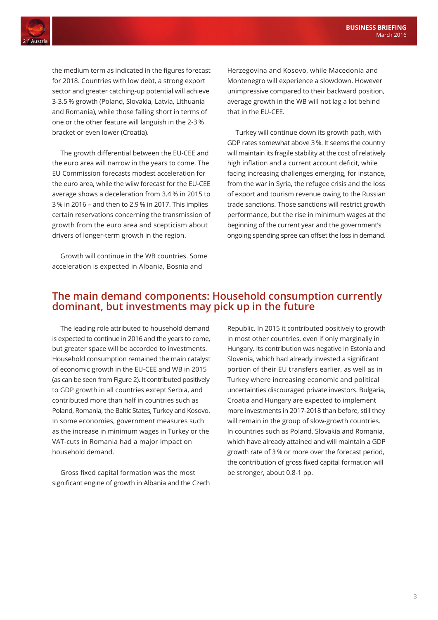

the medium term as indicated in the figures forecast for 2018. Countries with low debt, a strong export sector and greater catching-up potential will achieve 3-3.5 % growth (Poland, Slovakia, Latvia, Lithuania and Romania), while those falling short in terms of one or the other feature will languish in the 2-3 % bracket or even lower (Croatia).

The growth differential between the EU-CEE and the euro area will narrow in the years to come. The EU Commission forecasts modest acceleration for the euro area, while the wiiw forecast for the EU-CEE average shows a deceleration from 3.4 % in 2015 to 3 % in 2016 – and then to 2.9 % in 2017. This implies certain reservations concerning the transmission of growth from the euro area and scepticism about drivers of longer-term growth in the region.

Growth will continue in the WB countries. Some acceleration is expected in Albania, Bosnia and

Herzegovina and Kosovo, while Macedonia and Montenegro will experience a slowdown. However unimpressive compared to their backward position, average growth in the WB will not lag a lot behind that in the EU-CEE.

Turkey will continue down its growth path, with GDP rates somewhat above 3 %. It seems the country will maintain its fragile stability at the cost of relatively high inflation and a current account deficit, while facing increasing challenges emerging, for instance, from the war in Syria, the refugee crisis and the loss of export and tourism revenue owing to the Russian trade sanctions. Those sanctions will restrict growth performance, but the rise in minimum wages at the beginning of the current year and the government's ongoing spending spree can offset the loss in demand.

## **The main demand components: Household consumption currently dominant, but investments may pick up in the future**

The leading role attributed to household demand is expected to continue in 2016 and the years to come, but greater space will be accorded to investments. Household consumption remained the main catalyst of economic growth in the EU-CEE and WB in 2015 (as can be seen from Figure 2). It contributed positively to GDP growth in all countries except Serbia, and contributed more than half in countries such as Poland, Romania, the Baltic States, Turkey and Kosovo. In some economies, government measures such as the increase in minimum wages in Turkey or the VAT-cuts in Romania had a major impact on household demand.

Gross fixed capital formation was the most significant engine of growth in Albania and the Czech

Republic. In 2015 it contributed positively to growth in most other countries, even if only marginally in Hungary. Its contribution was negative in Estonia and Slovenia, which had already invested a significant portion of their EU transfers earlier, as well as in Turkey where increasing economic and political uncertainties discouraged private investors. Bulgaria, Croatia and Hungary are expected to implement more investments in 2017-2018 than before, still they will remain in the group of slow-growth countries. In countries such as Poland, Slovakia and Romania, which have already attained and will maintain a GDP growth rate of 3 % or more over the forecast period, the contribution of gross fixed capital formation will be stronger, about 0.8-1 pp.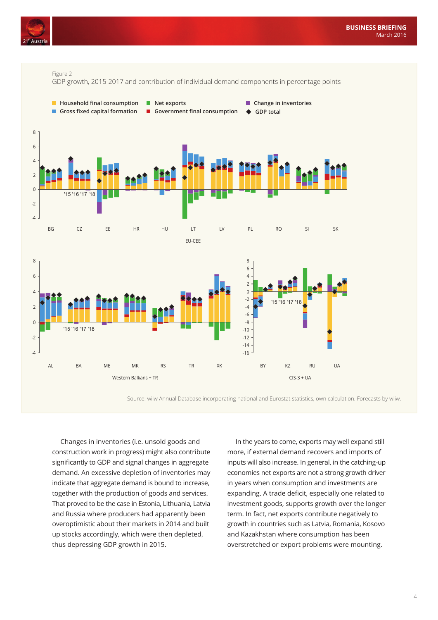



Source: wiiw Annual Database incorporating national and Eurostat statistics, own calculation. Forecasts by wiiw.

Changes in inventories (i.e. unsold goods and construction work in progress) might also contribute significantly to GDP and signal changes in aggregate demand. An excessive depletion of inventories may indicate that aggregate demand is bound to increase, together with the production of goods and services. That proved to be the case in Estonia, Lithuania, Latvia and Russia where producers had apparently been overoptimistic about their markets in 2014 and built up stocks accordingly, which were then depleted, thus depressing GDP growth in 2015.

In the years to come, exports may well expand still more, if external demand recovers and imports of inputs will also increase. In general, in the catching-up economies net exports are not a strong growth driver in years when consumption and investments are expanding. A trade deficit, especially one related to investment goods, supports growth over the longer term. In fact, net exports contribute negatively to growth in countries such as Latvia, Romania, Kosovo and Kazakhstan where consumption has been overstretched or export problems were mounting.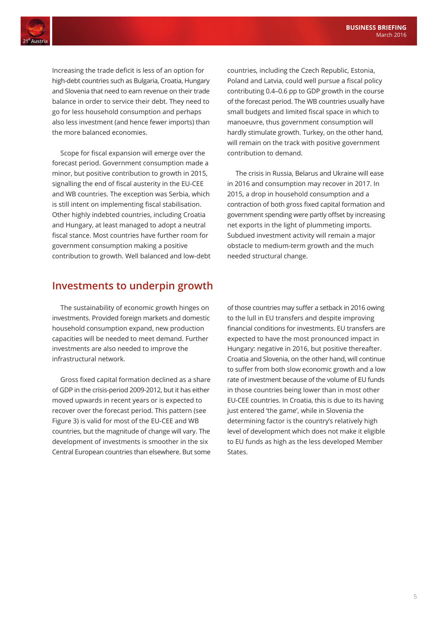

Increasing the trade deficit is less of an option for high-debt countries such as Bulgaria, Croatia, Hungary and Slovenia that need to earn revenue on their trade balance in order to service their debt. They need to go for less household consumption and perhaps also less investment (and hence fewer imports) than the more balanced economies.

Scope for fiscal expansion will emerge over the forecast period. Government consumption made a minor, but positive contribution to growth in 2015, signalling the end of fiscal austerity in the EU-CEE and WB countries. The exception was Serbia, which is still intent on implementing fiscal stabilisation. Other highly indebted countries, including Croatia and Hungary, at least managed to adopt a neutral fiscal stance. Most countries have further room for government consumption making a positive contribution to growth. Well balanced and low-debt

## **Investments to underpin growth**

The sustainability of economic growth hinges on investments. Provided foreign markets and domestic household consumption expand, new production capacities will be needed to meet demand. Further investments are also needed to improve the infrastructural network.

Gross fixed capital formation declined as a share of GDP in the crisis-period 2009-2012, but it has either moved upwards in recent years or is expected to recover over the forecast period. This pattern (see Figure 3) is valid for most of the EU-CEE and WB countries, but the magnitude of change will vary. The development of investments is smoother in the six Central European countries than elsewhere. But some

countries, including the Czech Republic, Estonia, Poland and Latvia, could well pursue a fiscal policy contributing 0.4–0.6 pp to GDP growth in the course of the forecast period. The WB countries usually have small budgets and limited fiscal space in which to manoeuvre, thus government consumption will hardly stimulate growth. Turkey, on the other hand, will remain on the track with positive government contribution to demand.

The crisis in Russia, Belarus and Ukraine will ease in 2016 and consumption may recover in 2017. In 2015, a drop in household consumption and a contraction of both gross fixed capital formation and government spending were partly offset by increasing net exports in the light of plummeting imports. Subdued investment activity will remain a major obstacle to medium-term growth and the much needed structural change.

of those countries may suffer a setback in 2016 owing to the lull in EU transfers and despite improving financial conditions for investments. EU transfers are expected to have the most pronounced impact in Hungary: negative in 2016, but positive thereafter. Croatia and Slovenia, on the other hand, will continue to suffer from both slow economic growth and a low rate of investment because of the volume of EU funds in those countries being lower than in most other EU-CEE countries. In Croatia, this is due to its having just entered 'the game', while in Slovenia the determining factor is the country's relatively high level of development which does not make it eligible to EU funds as high as the less developed Member States.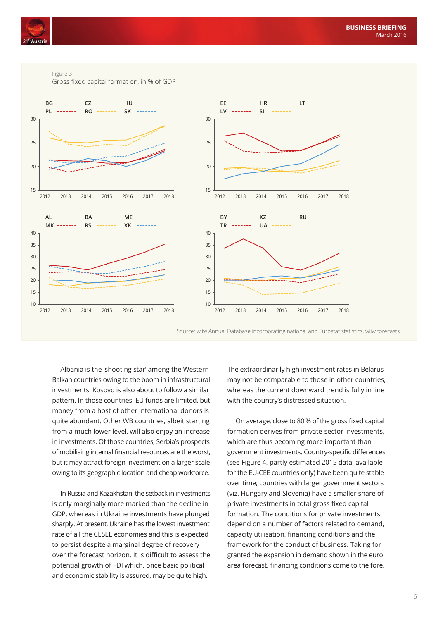

Figure 3

Gross fixed capital formation, in % of GDP



Source: wiiw Annual Database incorporating national and Eurostat statistics, wiiw forecasts.

Albania is the 'shooting star' among the Western Balkan countries owing to the boom in infrastructural investments. Kosovo is also about to follow a similar pattern. In those countries, EU funds are limited, but money from a host of other international donors is quite abundant. Other WB countries, albeit starting from a much lower level, will also enjoy an increase in investments. Of those countries, Serbia's prospects of mobilising internal financial resources are the worst, but it may attract foreign investment on a larger scale owing to its geographic location and cheap workforce.

In Russia and Kazakhstan, the setback in investments is only marginally more marked than the decline in GDP, whereas in Ukraine investments have plunged sharply. At present, Ukraine has the lowest investment rate of all the CESEE economies and this is expected to persist despite a marginal degree of recovery over the forecast horizon. It is difficult to assess the potential growth of FDI which, once basic political and economic stability is assured, may be quite high.

The extraordinarily high investment rates in Belarus may not be comparable to those in other countries, whereas the current downward trend is fully in line with the country's distressed situation.

On average, close to 80 % of the gross fixed capital formation derives from private-sector investments, which are thus becoming more important than government investments. Country-specific differences (see Figure 4, partly estimated 2015 data, available for the EU-CEE countries only) have been quite stable over time; countries with larger government sectors (viz. Hungary and Slovenia) have a smaller share of private investments in total gross fixed capital formation. The conditions for private investments depend on a number of factors related to demand, capacity utilisation, financing conditions and the framework for the conduct of business. Taking for granted the expansion in demand shown in the euro area forecast, financing conditions come to the fore.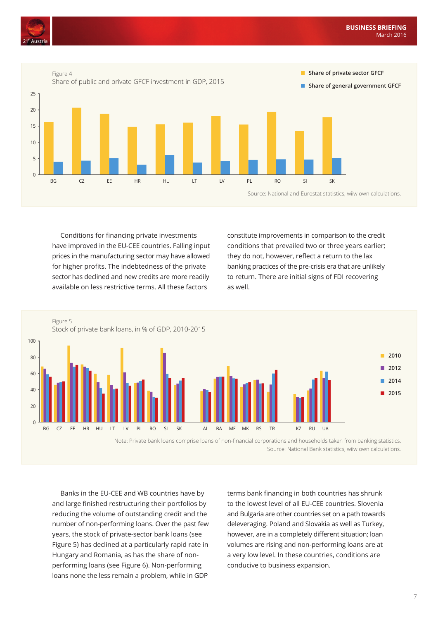



Conditions for financing private investments have improved in the EU-CEE countries. Falling input prices in the manufacturing sector may have allowed for higher profits. The indebtedness of the private sector has declined and new credits are more readily available on less restrictive terms. All these factors

constitute improvements in comparison to the credit conditions that prevailed two or three years earlier; they do not, however, reflect a return to the lax banking practices of the pre-crisis era that are unlikely to return. There are initial signs of FDI recovering as well.



Note: Private bank loans comprise loans of non-financial corporations and households taken from banking statistics. Source: National Bank statistics, wiiw own calculations.

Banks in the EU-CEE and WB countries have by and large finished restructuring their portfolios by reducing the volume of outstanding credit and the number of non-performing loans. Over the past few years, the stock of private-sector bank loans (see Figure 5) has declined at a particularly rapid rate in Hungary and Romania, as has the share of nonperforming loans (see Figure 6). Non-performing loans none the less remain a problem, while in GDP

terms bank financing in both countries has shrunk to the lowest level of all EU-CEE countries. Slovenia and Bulgaria are other countries set on a path towards deleveraging. Poland and Slovakia as well as Turkey, however, are in a completely different situation; loan volumes are rising and non-performing loans are at a very low level. In these countries, conditions are conducive to business expansion.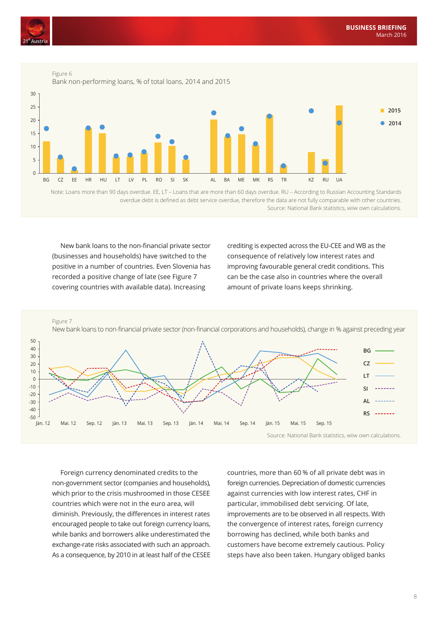



Note: Loans more than 90 days overdue. EE, LT – Loans that are more than 60 days overdue. RU – According to Russian Accounting Standards overdue debt is defined as debt service overdue, therefore the data are not fully comparable with other countries. Source: National Bank statistics, wiiw own calculations.

New bank loans to the non-financial private sector (businesses and households) have switched to the positive in a number of countries. Even Slovenia has recorded a positive change of late (see Figure 7 covering countries with available data). Increasing

crediting is expected across the EU-CEE and WB as the consequence of relatively low interest rates and improving favourable general credit conditions. This can be the case also in countries where the overall amount of private loans keeps shrinking.



Foreign currency denominated credits to the non-government sector (companies and households), which prior to the crisis mushroomed in those CESEE countries which were not in the euro area, will diminish. Previously, the differences in interest rates encouraged people to take out foreign currency loans, while banks and borrowers alike underestimated the exchange-rate risks associated with such an approach. As a consequence, by 2010 in at least half of the CESEE

countries, more than 60 % of all private debt was in foreign currencies. Depreciation of domestic currencies against currencies with low interest rates, CHF in particular, immobilised debt servicing. Of late, improvements are to be observed in all respects. With the convergence of interest rates, foreign currency borrowing has declined, while both banks and customers have become extremely cautious. Policy steps have also been taken. Hungary obliged banks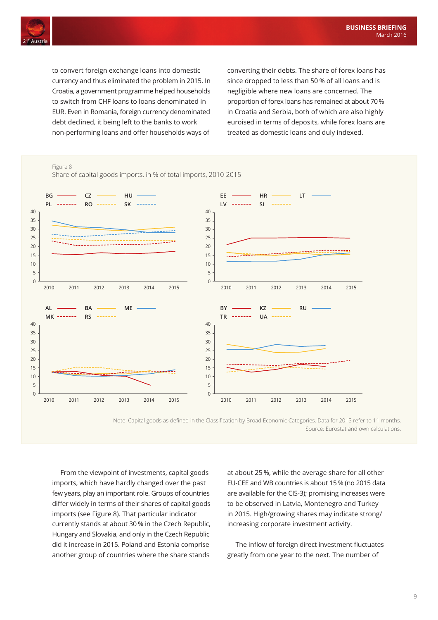

to convert foreign exchange loans into domestic currency and thus eliminated the problem in 2015. In Croatia, a government programme helped households to switch from CHF loans to loans denominated in EUR. Even in Romania, foreign currency denominated debt declined, it being left to the banks to work non-performing loans and offer households ways of

converting their debts. The share of forex loans has since dropped to less than 50 % of all loans and is negligible where new loans are concerned. The proportion of forex loans has remained at about 70 % in Croatia and Serbia, both of which are also highly euroised in terms of deposits, while forex loans are treated as domestic loans and duly indexed.



Note: Capital goods as defined in the Classification by Broad Economic Categories. Data for 2015 refer to 11 months. Source: Eurostat and own calculations.

From the viewpoint of investments, capital goods imports, which have hardly changed over the past few years, play an important role. Groups of countries differ widely in terms of their shares of capital goods imports (see Figure 8). That particular indicator currently stands at about 30 % in the Czech Republic, Hungary and Slovakia, and only in the Czech Republic did it increase in 2015. Poland and Estonia comprise another group of countries where the share stands

at about 25 %, while the average share for all other EU-CEE and WB countries is about 15 % (no 2015 data are available for the CIS-3); promising increases were to be observed in Latvia, Montenegro and Turkey in 2015. High/growing shares may indicate strong/ increasing corporate investment activity.

The inflow of foreign direct investment fluctuates greatly from one year to the next. The number of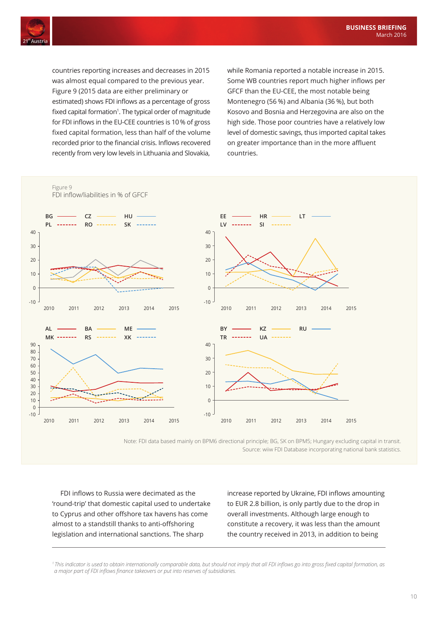

countries reporting increases and decreases in 2015 was almost equal compared to the previous year. Figure 9 (2015 data are either preliminary or estimated) shows FDI inflows as a percentage of gross fixed capital formation<sup>1</sup>. The typical order of magnitude for FDI inflows in the EU-CEE countries is 10 % of gross fixed capital formation, less than half of the volume recorded prior to the financial crisis. Inflows recovered recently from very low levels in Lithuania and Slovakia,

while Romania reported a notable increase in 2015. Some WB countries report much higher inflows per GFCF than the EU-CEE, the most notable being Montenegro (56 %) and Albania (36 %), but both Kosovo and Bosnia and Herzegovina are also on the high side. Those poor countries have a relatively low level of domestic savings, thus imported capital takes on greater importance than in the more affluent countries.



Note: FDI data based mainly on BPM6 directional principle; BG, SK on BPM5; Hungary excluding capital in transit. Source: wiiw FDI Database incorporating national bank statistics.

FDI inflows to Russia were decimated as the 'round-trip' that domestic capital used to undertake to Cyprus and other offshore tax havens has come almost to a standstill thanks to anti-offshoring legislation and international sanctions. The sharp

increase reported by Ukraine, FDI inflows amounting to EUR 2.8 billion, is only partly due to the drop in overall investments. Although large enough to constitute a recovery, it was less than the amount the country received in 2013, in addition to being

*<sup>1</sup>This indicator is used to obtain internationally comparable data, but should not imply that all FDI inflows go into gross fixed capital formation, as a major part of FDI inflows finance takeovers or put into reserves of subsidiaries.*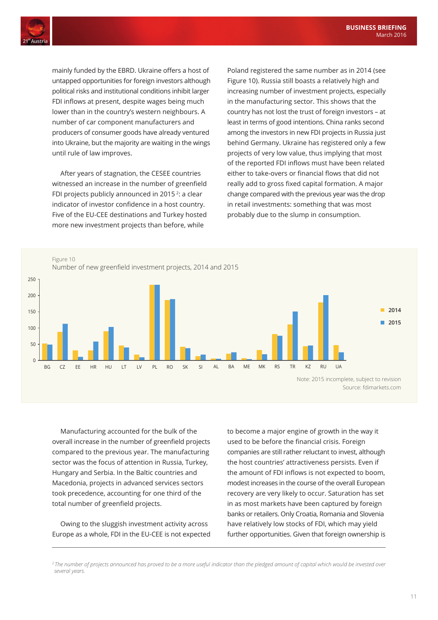

mainly funded by the EBRD. Ukraine offers a host of untapped opportunities for foreign investors although political risks and institutional conditions inhibit larger FDI inflows at present, despite wages being much lower than in the country's western neighbours. A number of car component manufacturers and producers of consumer goods have already ventured into Ukraine, but the majority are waiting in the wings until rule of law improves.

After years of stagnation, the CESEE countries witnessed an increase in the number of greenfield FDI projects publicly announced in 2015 2: a clear indicator of investor confidence in a host country. Five of the EU-CEE destinations and Turkey hosted more new investment projects than before, while

Poland registered the same number as in 2014 (see Figure 10). Russia still boasts a relatively high and increasing number of investment projects, especially in the manufacturing sector. This shows that the country has not lost the trust of foreign investors – at least in terms of good intentions. China ranks second among the investors in new FDI projects in Russia just behind Germany. Ukraine has registered only a few projects of very low value, thus implying that most of the reported FDI inflows must have been related either to take-overs or financial flows that did not really add to gross fixed capital formation. A major change compared with the previous year was the drop in retail investments: something that was most probably due to the slump in consumption.



Manufacturing accounted for the bulk of the overall increase in the number of greenfield projects compared to the previous year. The manufacturing sector was the focus of attention in Russia, Turkey, Hungary and Serbia. In the Baltic countries and Macedonia, projects in advanced services sectors took precedence, accounting for one third of the total number of greenfield projects.

Owing to the sluggish investment activity across Europe as a whole, FDI in the EU-CEE is not expected

to become a major engine of growth in the way it used to be before the financial crisis. Foreign companies are still rather reluctant to invest, although the host countries' attractiveness persists. Even if the amount of FDI inflows is not expected to boom, modest increases in the course of the overall European recovery are very likely to occur. Saturation has set in as most markets have been captured by foreign banks or retailers. Only Croatia, Romania and Slovenia have relatively low stocks of FDI, which may yield further opportunities. Given that foreign ownership is

*<sup>2</sup>The number of projects announced has proved to be a more useful indicator than the pledged amount of capital which would be invested over several years.*